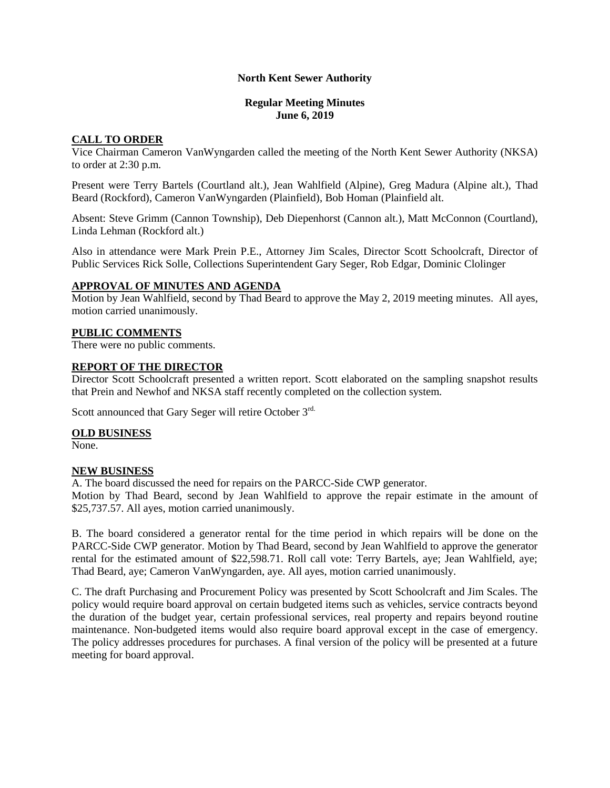# **North Kent Sewer Authority**

### **Regular Meeting Minutes June 6, 2019**

# **CALL TO ORDER**

Vice Chairman Cameron VanWyngarden called the meeting of the North Kent Sewer Authority (NKSA) to order at 2:30 p.m.

Present were Terry Bartels (Courtland alt.), Jean Wahlfield (Alpine), Greg Madura (Alpine alt.), Thad Beard (Rockford), Cameron VanWyngarden (Plainfield), Bob Homan (Plainfield alt.

Absent: Steve Grimm (Cannon Township), Deb Diepenhorst (Cannon alt.), Matt McConnon (Courtland), Linda Lehman (Rockford alt.)

Also in attendance were Mark Prein P.E., Attorney Jim Scales, Director Scott Schoolcraft, Director of Public Services Rick Solle, Collections Superintendent Gary Seger, Rob Edgar, Dominic Clolinger

## **APPROVAL OF MINUTES AND AGENDA**

Motion by Jean Wahlfield, second by Thad Beard to approve the May 2, 2019 meeting minutes. All ayes, motion carried unanimously.

# **PUBLIC COMMENTS**

There were no public comments.

# **REPORT OF THE DIRECTOR**

Director Scott Schoolcraft presented a written report. Scott elaborated on the sampling snapshot results that Prein and Newhof and NKSA staff recently completed on the collection system.

Scott announced that Gary Seger will retire October 3rd.

#### **OLD BUSINESS**

None.

# **NEW BUSINESS**

A. The board discussed the need for repairs on the PARCC-Side CWP generator.

Motion by Thad Beard, second by Jean Wahlfield to approve the repair estimate in the amount of \$25,737.57. All ayes, motion carried unanimously.

B. The board considered a generator rental for the time period in which repairs will be done on the PARCC-Side CWP generator. Motion by Thad Beard, second by Jean Wahlfield to approve the generator rental for the estimated amount of \$22,598.71. Roll call vote: Terry Bartels, aye; Jean Wahlfield, aye; Thad Beard, aye; Cameron VanWyngarden, aye. All ayes, motion carried unanimously.

C. The draft Purchasing and Procurement Policy was presented by Scott Schoolcraft and Jim Scales. The policy would require board approval on certain budgeted items such as vehicles, service contracts beyond the duration of the budget year, certain professional services, real property and repairs beyond routine maintenance. Non-budgeted items would also require board approval except in the case of emergency. The policy addresses procedures for purchases. A final version of the policy will be presented at a future meeting for board approval.